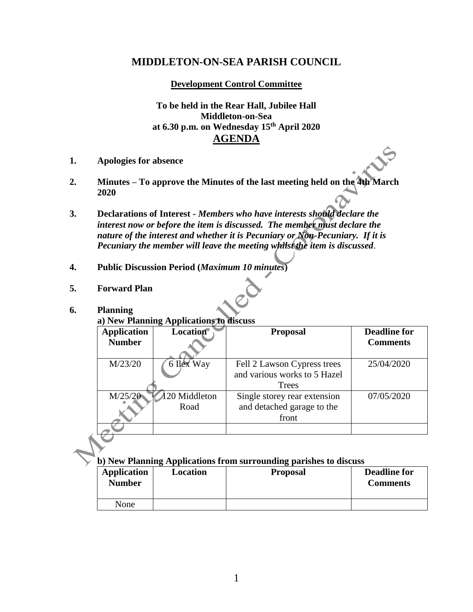# **MIDDLETON-ON-SEA PARISH COUNCIL**

**Development Control Committee**

**To be held in the Rear Hall, Jubilee Hall Middleton-on-Sea at 6.30 p.m. on Wednesday 15th April 2020 AGENDA**

- **1. Apologies for absence**
- **2. Minutes – To approve the Minutes of the last meeting held on the 4th March 2020**
- **3. Declarations of Interest -** *Members who have interests should declare the interest now or before the item is discussed. The member must declare the nature of the interest and whether it is Pecuniary or Non-Pecuniary. If it is Pecuniary the member will leave the meeting whilst the item is discussed*.
- **4. Public Discussion Period (***Maximum 10 minutes***)**
- **5. Forward Plan**

### **6. Planning**

**a) New Planning Applications to discuss**

| <b>Application</b> | <b>Location</b> | <b>Proposal</b>                       | <b>Deadline for</b> |
|--------------------|-----------------|---------------------------------------|---------------------|
| <b>Number</b>      |                 |                                       | <b>Comments</b>     |
| M/23/20            | 6 Ilex Way      | Fell 2 Lawson Cypress trees           | 25/04/2020          |
|                    |                 | and various works to 5 Hazel<br>Trees |                     |
| M/25/20            | 120 Middleton   | Single storey rear extension          | 07/05/2020          |
|                    | Road            | and detached garage to the<br>front   |                     |
|                    |                 |                                       |                     |

## **b) New Planning Applications from surrounding parishes to discuss**

| <b>Application</b><br><b>Number</b> | Location | <b>Proposal</b> | <b>Deadline for</b><br><b>Comments</b> |
|-------------------------------------|----------|-----------------|----------------------------------------|
| None                                |          |                 |                                        |